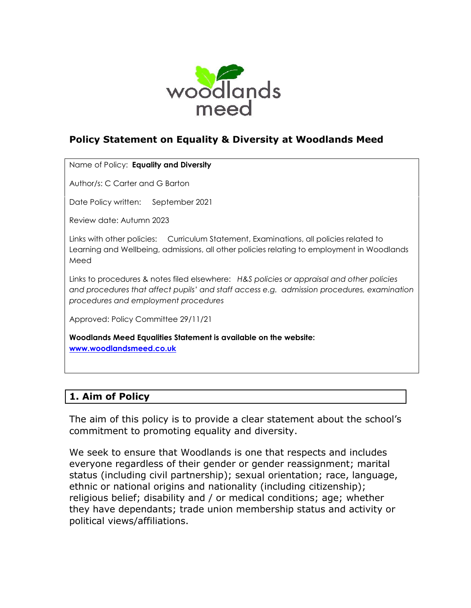

# **Policy Statement on Equality & Diversity at Woodlands Meed**

Name of Policy: **Equality and Diversity** 

Author/s: C Carter and G Barton

Date Policy written: September 2021

Review date: Autumn 2023

Links with other policies: Curriculum Statement, Examinations, all policies related to Learning and Wellbeing, admissions, all other policies relating to employment in Woodlands Meed

Links to procedures & notes filed elsewhere: *H&S policies or appraisal and other policies and procedures that affect pupils' and staff access e.g. admission procedures, examination procedures and employment procedures*

Approved: Policy Committee 29/11/21

**Woodlands Meed Equalities Statement is available on the website: [www.woodlandsmeed.co.uk](http://www.woodlandsmeed.co.uk/)**

# **1. Aim of Policy**

The aim of this policy is to provide a clear statement about the school's commitment to promoting equality and diversity.

We seek to ensure that Woodlands is one that respects and includes everyone regardless of their gender or gender reassignment; marital status (including civil partnership); sexual orientation; race, language, ethnic or national origins and nationality (including citizenship); religious belief; disability and / or medical conditions; age; whether they have dependants; trade union membership status and activity or political views/affiliations.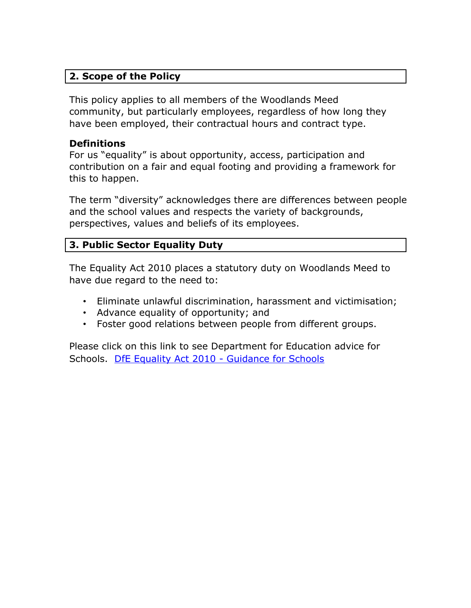# **2. Scope of the Policy**

This policy applies to all members of the Woodlands Meed community, but particularly employees, regardless of how long they have been employed, their contractual hours and contract type.

#### **Definitions**

For us "equality" is about opportunity, access, participation and contribution on a fair and equal footing and providing a framework for this to happen.

The term "diversity" acknowledges there are differences between people and the school values and respects the variety of backgrounds, perspectives, values and beliefs of its employees.

### **3. Public Sector Equality Duty**

The Equality Act 2010 places a statutory duty on Woodlands Meed to have due regard to the need to:

- Eliminate unlawful discrimination, harassment and victimisation;
- Advance equality of opportunity; and
- Foster good relations between people from different groups.

Please click on this link to see Department for Education advice for Schools. [DfE Equality Act 2010 -](http://www.education.gov.uk/aboutdfe/policiesandprocedures/equalityanddiversity/a0064570/the-equality-act-2010) Guidance for Schools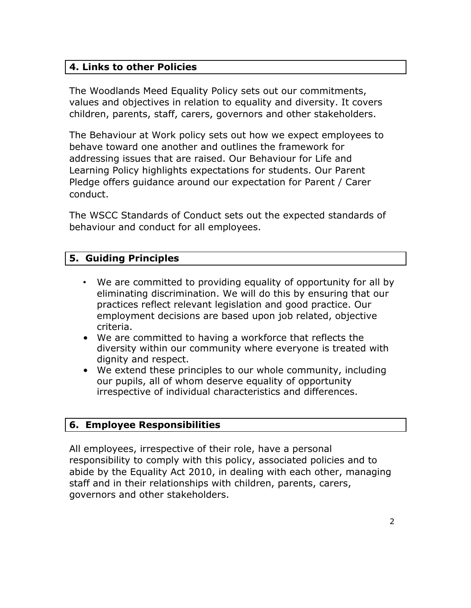# **4. Links to other Policies**

The Woodlands Meed Equality Policy sets out our commitments, values and objectives in relation to equality and diversity. It covers children, parents, staff, carers, governors and other stakeholders.

The Behaviour at Work policy sets out how we expect employees to behave toward one another and outlines the framework for addressing issues that are raised. Our Behaviour for Life and Learning Policy highlights expectations for students. Our Parent Pledge offers guidance around our expectation for Parent / Carer conduct.

The WSCC Standards of Conduct sets out the expected standards of behaviour and conduct for all employees.

### **5. Guiding Principles**

- We are committed to providing equality of opportunity for all by eliminating discrimination. We will do this by ensuring that our practices reflect relevant legislation and good practice. Our employment decisions are based upon job related, objective criteria.
- We are committed to having a workforce that reflects the diversity within our community where everyone is treated with dignity and respect.
- We extend these principles to our whole community, including our pupils, all of whom deserve equality of opportunity irrespective of individual characteristics and differences.

#### **6. Employee Responsibilities**

All employees, irrespective of their role, have a personal responsibility to comply with this policy, associated policies and to abide by the Equality Act 2010, in dealing with each other, managing staff and in their relationships with children, parents, carers, governors and other stakeholders.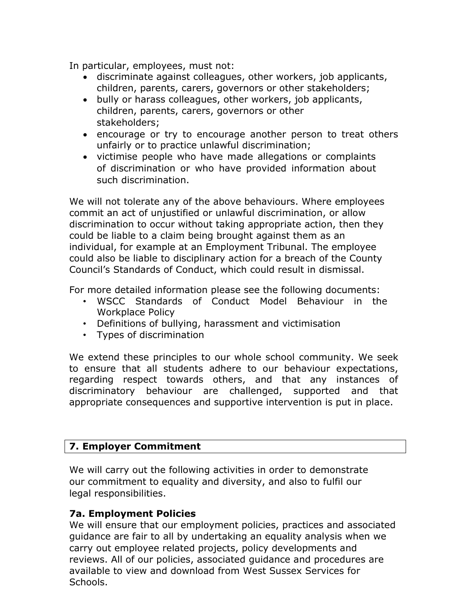In particular, employees, must not:

- discriminate against colleagues, other workers, job applicants, children, parents, carers, governors or other stakeholders;
- bully or harass colleagues, other workers, job applicants, children, parents, carers, governors or other stakeholders;
- encourage or try to encourage another person to treat others unfairly or to practice unlawful discrimination;
- victimise people who have made allegations or complaints of discrimination or who have provided information about such discrimination.

We will not tolerate any of the above behaviours. Where employees commit an act of unjustified or unlawful discrimination, or allow discrimination to occur without taking appropriate action, then they could be liable to a claim being brought against them as an individual, for example at an Employment Tribunal. The employee could also be liable to disciplinary action for a breach of the County Council's Standards of Conduct, which could result in dismissal.

For more detailed information please see the following documents:

- WSCC Standards of Conduct Model Behaviour in the Workplace Policy
- Definitions of bullying, harassment and victimisation
- Types of discrimination

We extend these principles to our whole school community. We seek to ensure that all students adhere to our behaviour expectations, regarding respect towards others, and that any instances of discriminatory behaviour are challenged, supported and that appropriate consequences and supportive intervention is put in place.

#### **7. Employer Commitment**

We will carry out the following activities in order to demonstrate our commitment to equality and diversity, and also to fulfil our legal responsibilities.

#### **7a. Employment Policies**

We will ensure that our employment policies, practices and associated guidance are fair to all by undertaking an equality analysis when we carry out employee related projects, policy developments and reviews. All of our policies, associated guidance and procedures are available to view and download from West Sussex Services for Schools.